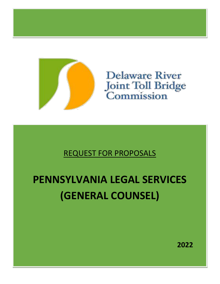

**Delaware River** Joint Toll Bridge<br>Commission

REQUEST FOR PROPOSALS

# **PENNSYLVANIA LEGAL SERVICES (GENERAL COUNSEL)**

**2022**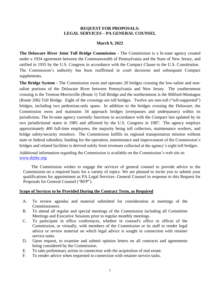#### **REQUEST FOR PROPOSALS: LEGAL SERVICES – PA GENERAL COUNSEL**

#### **March 9, 2022**

**The Delaware River Joint Toll Bridge Commission** - The Commission is a bi-state agency created under a 1934 agreement between the Commonwealth of Pennsylvania and the State of New Jersey, and ratified in 1935 by the U.S. Congress in accordance with the Compact Clause to the U.S. Constitution. The Commission's authority has been reaffirmed in court decisions and subsequent Compact supplements.

**The Bridge System -** The Commission owns and operates 20 bridges crossing the low-saline and nonsaline portions of the Delaware River between Pennsylvania and New Jersey. The southernmost crossing is the Trenton-Morrisville (Route 1) Toll Bridge and the northernmost is the Milford-Montague (Route 206) Toll Bridge. Eight of the crossings are toll bridges. Twelve are non-toll ("toll-supported") bridges, including two pedestrian-only spans. In addition to the bridges crossing the Delaware, the Commission owns and maintains 34 approach bridges (overpasses and underpasses) within its jurisdiction. The bi-state agency currently functions in accordance with the Compact last updated by its two jurisdictional states in 1985 and affirmed by the U.S. Congress in 1987. The agency employs approximately 400 full-time employees, the majority being toll collectors, maintenance workers, and bridge safety/security monitors. The Commission fulfills its regional transportation mission without state or federal subsidies; funding for the operation, maintenance and improvement of the Commission's bridges and related facilities is derived solely from revenues collected at the agency's eight toll bridges.

Additional information regarding the Commission is available on the Commission's web site at: [www.drjtbc.org](http://www.drjtbc.org/)

The Commission wishes to engage the services of general counsel to provide advice to the Commission on a required basis for a variety of topics. We are pleased to invite you to submit your qualifications for appointment as PA Legal Services- General Counsel in response to this Request for Proposals for General Counsel ("RFP").

#### **Scope of Services to be Provided During the Contract Term, as Required**

- A. To review agendas and material submitted for consideration at meetings of the Commissioners.
- B. To attend all regular and special meetings of the Commission including all Committee Meetings and Executive Sessions prior to regular monthly meetings.
- C. To participate in office conferences, whether in counsel's office or offices of the Commission, or virtually, with members of the Commission or its staff to render legal advice or review material on which legal advice is sought in connection with retainer service tasks.
- D. Upon request, to examine and submit opinion letters on all contracts and agreements being considered by the Commission.
- E. To take preliminary action in connection with the acquisition of real estate.
- F. To render advice when requested in connection with retainer service tasks.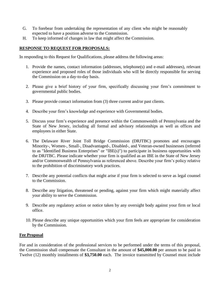- G. To forebear from undertaking the representation of any client who might be reasonably expected to have a position adverse to the Commission.
- H. To keep informed of changes in law that might affect the Commission.

## **RESPONSE TO REQUEST FOR PROPOSALS:**

In responding to this Request for Qualifications, please address the following areas:

- 1. Provide the names, contact information (addresses, telephone(s) and e-mail addresses), relevant experience and proposed roles of those individuals who will be directly responsible for serving the Commission on a day-to-day basis.
- 2. Please give a brief history of your firm, specifically discussing your firm's commitment to governmental public bodies.
- 3. Please provide contact information from (3) three current and/or past clients.
- 4. Describe your firm's knowledge and experience with Governmental bodies.
- 5. Discuss your firm's experience and presence within the Commonwealth of Pennsylvania and the State of New Jersey, including all formal and advisory relationships as well as offices and employees in either State.
- 6. The Delaware River Joint Toll Bridge Commission (DRJTBC) promotes and encourages Minority-, Women-, Small-, Disadvantaged-, Disabled-, and Veteran-owned businesses (referred to as "Identified Business Enterprises" or "IBE(s)") to participate in business opportunities with the DRJTBC. Please indicate whether your firm is qualified as an IBE in the State of New Jersey and/or Commonwealth of Pennsylvania as referenced above. Describe your firm's policy relative to the prohibition of discriminatory work practices.
- 7. Describe any potential conflicts that might arise if your firm is selected to serve as legal counsel to the Commission.
- 8. Describe any litigation, threatened or pending, against your firm which might materially affect your ability to serve the Commission.
- 9. Describe any regulatory action or notice taken by any oversight body against your firm or local office.
- 10. Please describe any unique opportunities which your firm feels are appropriate for consideration by the Commission.

## **Fee Proposal**

For and in consideration of the professional services to be performed under the terms of this proposal, the Commission shall compensate the Consultant in the amount of **\$45,000.00** per annum to be paid in Twelve (12) monthly installments of **\$3,750.00** each. The invoice transmitted by Counsel must include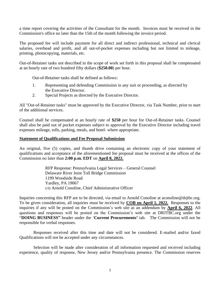a time report covering the activities of the Consultant for the month. Invoices must be received in the Commission's office no later than the 15th of the month following the invoice period.

The proposed fee will include payment for all direct and indirect professional, technical and clerical salaries, overhead and profit, and all out-of-pocket expenses including but not limited to mileage, printing, photocopying, materials, etc.

Out-of-Retainer tasks not described in the scope of work set forth in this proposal shall be compensated at an hourly rate of two hundred fifty dollars (**\$250.00**) per hour.

Out-of-Retainer tasks shall be defined as follows:

- 1. Representing and defending Commission in any suit or proceeding, as directed by the Executive Director.
- 2. Special Projects as directed by the Executive Director.

All "Out-of-Retainer tasks" must be approved by the Executive Director, via Task Number, prior to start of the additional services.

Counsel shall be compensated at an hourly rate of **\$250** per hour for Out-of-Retainer tasks. Counsel shall also be paid out of pocket expenses subject to approval by the Executive Director including travel expenses mileage, tolls, parking, meals, and hotel- where appropriate.

#### **Statement of Qualifications and Fee Proposal Submission**

An original, five (5) copies, and thumb drive containing an electronic copy of your statement of qualifications and acceptance of the aforementioned fee proposal must be received at the offices of the Commission no later than **2:00 p.m. EDT** on **April 8, 2022.**

> RFP Response: Pennsylvania Legal Services – General Counsel Delaware River Joint Toll Bridge Commission 1199 Woodside Road Yardley, PA 19067 c/o Arnold Conoline, Chief Administrative Officer

Inquiries concerning this RFP are to be directed, via email to Arnold Conoline at aconoline@drjtbc.org. To be given consideration, all inquiries must be received by **COB on April 1, 2022.** Responses to the inquiries if any will be posted on the Commission's web site as an addendum by **April 6, 2022**. All questions and responses will be posted on the Commission's web site at DRJTBC.org under the "**DOING BUSINESS"** header under the '**Current Procurements'** tab. The Commission will not be responsible for verbal responses.

Responses received after this time and date will not be considered. E-mailed and/or faxed Qualifications will not be accepted under any circumstances.

Selection will be made after consideration of all information requested and received including experience, quality of response, New Jersey and/or Pennsylvania presence. The Commission reserves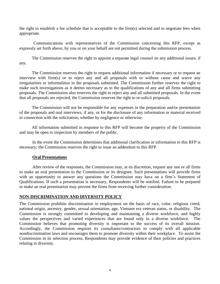the right to establish a fee schedule that is acceptable to the firm(s) selected and to negotiate fees when appropriate.

Communications with representatives of the Commission concerning this RFP, except as expressly set forth above, by you or on your behalf are not permitted during the submission process.

The Commission reserves the right to appoint a separate legal counsel on any additional issues, if any.

The Commission reserves the right to request additional information if necessary or to request an interview with firm(s) or to reject any and all proposals with or without cause and waive any irregularities or informalities in the proposals submitted. The Commission further reserves the right to make such investigations as it deems necessary as to the qualifications of any and all firms submitting proposals. The Commission also reserves the right to reject any and all submitted proposals. In the event that all proposals are rejected, the Commission reserves the right to re-solicit proposals.

The Commission will not be responsible for any expenses in the preparation and/or presentation of the proposals and oral interviews, if any, or for the disclosure of any information or material received in connection with the solicitation, whether by negligence or otherwise.

All information submitted in response to this RFP will become the property of the Commission and may be open to inspection by members of the public.

In the event the Commission determines that additional clarification or information to this RFP is necessary; the Commission reserves the right to issue an addendum to this RFP.

## **Oral Presentations**

After review of the responses, the Commission may, at its discretion, request any one or all firms to make an oral presentation to the Commission or its designee. Such presentations will provide firms with an opportunity to answer any questions the Commission may have on a firm's Statement of Qualifications. If such a presentation is necessary, Respondents will be notified. Failure to be prepared to make an oral presentation may prevent the firms from receiving further consideration.

## **NON-DISCRIMINATION AND DIVERSITY POLICY**

The Commission prohibits discrimination in employment on the basis of race, color, religious creed, national origin, ancestry, gender, sexual orientation, age, Vietnam era veteran status, or disability. The Commission is strongly committed to developing and maintaining a diverse workforce, and highly values the perspectives and varied experiences that are found only in a diverse workforce. The Commission believes that promoting diversity is important to the success of its overall mission. Accordingly, the Commission requires its consultants/contractors to comply with all applicable nondiscrimination laws and encourages them to promote diversity within their workplace. To assist the Commission in its selection process, Respondents may provide evidence of their policies and practices relating to diversity.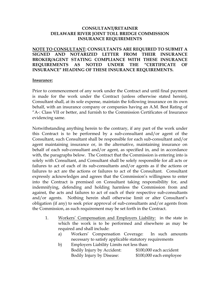## **CONSULTANT/RETAINER DELAWARE RIVER JOINT TOLL BRIDGE COMMISSION INSURANCE REQUIREMENTS**

**NOTE TO CONSULTANT: CONSULTANTS ARE REQUIRED TO SUBMIT A SIGNED AND NOTARIZED LETTER FROM THEIR INSURANCE BROKER/AGENT STATING COMPLIANCE WITH THESE INSURANCE REQUIREMENTS AS NOTED UNDER THE "CERTIFICATE OF INSURANCE" HEADING OF THESE INSURANCE REQUIREMENTS.**

## **Insurance:**

Prior to commencement of any work under the Contract and until final payment is made for the work under the Contract (unless otherwise stated herein), Consultant shall, at its sole expense, maintain the following insurance on its own behalf, with an insurance company or companies having an A.M. Best Rating of "A-: Class VII or better, and furnish to the Commission Certificates of Insurance evidencing same.

Notwithstanding anything herein to the contrary, if any part of the work under this Contract is to be performed by a sub-consultant and/or agent of the Consultant, such Consultant shall be responsible for each sub-consultant and/or agent maintaining insurance or, in the alternative, maintaining insurance on behalf of each sub-consultant and/or agent, as specified in, and in accordance with, the paragraphs below. The Contract that the Commission is entering into is solely with Consultant, and Consultant shall be solely responsible for all acts or failures to act of each of its sub-consultants and/or agents as if the actions or failures to act are the actions or failures to act of the Consultant. Consultant expressly acknowledges and agrees that the Commission's willingness to enter into the Contract is premised on Consultant taking responsibility for, and indemnifying, defending and holding harmless the Commission from and against, the acts and failures to act of each of their respective sub-consultants and/or agents. Nothing herein shall otherwise limit or alter Consultant's obligation (if any) to seek prior approval of sub-consultants and/or agents from the Commission, as such requirement may be set forth in the Contract.

- 1. Workers' Compensation and Employers Liability: in the state in which the work is to be performed and elsewhere as may be required and shall include:
	- a) Workers' Compensation Coverage: In such amounts necessary to satisfy applicable statutory requirements
	- b) Employers Liability Limits not less than: Bodily Injury by Accident: \$100,000 each accident Bodily Injury by Disease: \$100,000 each employee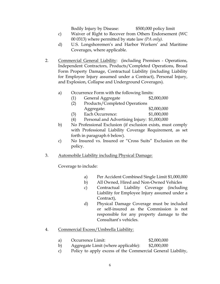Bodily Injury by Disease: \$500,000 policy limit

- c) Waiver of Right to Recover from Others Endorsement (WC 00 0313) where permitted by state law *(PA only).*
- d) U.S. Longshoremen's and Harbor Workers' and Maritime Coverages, where applicable.
- 2. Commercial General Liability: (including Premises Operations, Independent Contractors, Products/Completed Operations, Broad Form Property Damage, Contractual Liability (including Liability for Employee Injury assumed under a Contract), Personal Injury, and Explosion, Collapse and Underground Coverages).
	- a) Occurrence Form with the following limits:
		- (1) General Aggregate \$2,000,000
			- (2) Products/Completed Operations Aggregate: \$2,000,000
			- (3) Each Occurrence: \$1,000,000
			- (4) Personal and Advertising Injury: \$1,000,000
	- b) No Professional Exclusion (if exclusion exists, must comply with Professional Liability Coverage Requirement, as set forth in paragraph 6 below).
	- c) No Insured vs. Insured or "Cross Suits" Exclusion on the policy.
- 3. Automobile Liability including Physical Damage:

Coverage to include:

- a) Per Accident Combined Single Limit \$1,000,000
- b) All Owned, Hired and Non-Owned Vehicles
	- c) Contractual Liability Coverage (including Liability for Employee Injury assumed under a Contract),
	- d) Physical Damage Coverage must be included or self-insured as the Commission is not responsible for any property damage to the Consultant's vehicles.
- 4. Commercial Excess/Umbrella Liability:
	- a) Occurrence Limit: \$2,000,000
	- b) Aggregate Limit (where applicable): \$2,000,000
	- c) Policy to apply excess of the Commercial General Liability,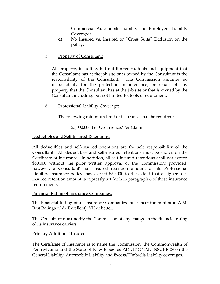Commercial Automobile Liability and Employers Liability Coverages.

- d) No Insured vs. Insured or "Cross Suits" Exclusion on the policy.
- 5. Property of Consultant:

All property, including, but not limited to, tools and equipment that the Consultant has at the job site or is owned by the Consultant is the responsibility of the Consultant. The Commission assumes no responsibility for the protection, maintenance, or repair of any property that the Consultant has at the job site or that is owned by the Consultant including, but not limited to, tools or equipment.

6. Professional Liability Coverage:

The following minimum limit of insurance shall be required:

# \$5,000,000 Per Occurrence/Per Claim

# Deductibles and Self Insured Retentions:

All deductibles and self-insured retentions are the sole responsibility of the Consultant. All deductibles and self-insured retentions must be shown on the Certificate of Insurance. In addition, all self-insured retentions shall not exceed \$50,000 without the prior written approval of the Commission; provided, however, a Consultant's self-insured retention amount on its Professional Liability Insurance policy may exceed \$50,000 to the extent that a higher selfinsured retention amount is expressly set forth in paragraph 6 of these insurance requirements.

# Financial Rating of Insurance Companies:

The Financial Rating of all Insurance Companies must meet the minimum A.M. Best Ratings of A-(Excellent); VII or better.

The Consultant must notify the Commission of any change in the financial rating of its insurance carriers.

# Primary Additional Insureds:

The Certificate of Insurance is to name the Commission, the Commonwealth of Pennsylvania and the State of New Jersey as ADDITIONAL INSUREDS on the General Liability, Automobile Liability and Excess/Umbrella Liability coverages.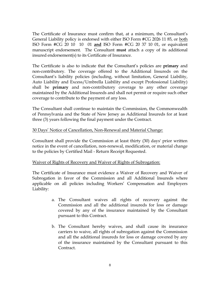The Certificate of Insurance must confirm that, at a minimum, the Consultant's General Liability policy is endorsed with either ISO Form #CG 2026 11 85, or both ISO Form #CG 20 10 10 01 **and** ISO Form #CG 20 37 10 01, or equivalent manuscript endorsement. The Consultant **must** attach a copy of its additional insured endorsement(s) to its Certificate of Insurance.

The Certificate is also to indicate that the Consultant's policies are **primary** and non-contributory. The coverage offered to the Additional Insureds on the Consultant's liability policies (including, without limitation, General Liability, Auto Liability and Excess/Umbrella Liability and except Professional Liability) shall be **primary** and non-contributory coverage to any other coverage maintained by the Additional Insureds and shall not permit or require such other coverage to contribute to the payment of any loss.

The Consultant shall continue to maintain the Commission, the Commonwealth of Pennsylvania and the State of New Jersey as Additional Insureds for at least three (3) years following the final payment under the Contract.

# 30 Days' Notice of Cancellation, Non-Renewal and Material Change:

Consultant shall provide the Commission at least thirty (30) days' prior written notice in the event of cancellation, non-renewal, modification, or material change to the policies by Certified Mail - Return Receipt Requested.

## Waiver of Rights of Recovery and Waiver of Rights of Subrogation:

The Certificate of Insurance must evidence a Waiver of Recovery and Waiver of Subrogation in favor of the Commission and all Additional Insureds where applicable on all policies including Workers' Compensation and Employers Liability:

- a. The Consultant waives all rights of recovery against the Commission and all the additional insureds for loss or damage covered by any of the insurance maintained by the Consultant pursuant to this Contract.
- b. The Consultant hereby waives, and shall cause its insurance carriers to waive, all rights of subrogation against the Commission and all the additional insureds for loss or damage covered by any of the insurance maintained by the Consultant pursuant to this Contract.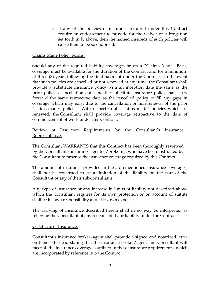c. If any of the policies of insurance required under this Contract require an endorsement to provide for the waiver of subrogation set forth in b, above, then the named insureds of such policies will cause them to be so endorsed.

# Claims Made Policy Forms:

Should any of the required liability coverages be on a "Claims Made" Basis, coverage must be available for the duration of the Contract and for a minimum of three (3) years following the final payment under the Contract. In the event that such policies are cancelled or not renewed at any time, the Consultant shall provide a substitute insurance policy with an inception date the same as the prior policy's cancellation date and the substitute insurance policy shall carry forward the same retroactive date as the cancelled policy to fill any gaps in coverage which may exist due to the cancellation or non-renewal of the prior "claims-made" policies. With respect to all "claims made" policies which are renewed, the Consultant shall provide coverage retroactive to the date of commencement of work under this Contract.

# Review of Insurance Requirements by the Consultant's Insurance Representative:

The Consultant WARRANTS that this Contract has been thoroughly reviewed by the Consultant's insurance agent(s)/broker(s), who have been instructed by the Consultant to procure the insurance coverage required by this Contract.

The amount of insurance provided in the aforementioned insurance coverages, shall not be construed to be a limitation of the liability on the part of the Consultant or any of their sub-consultants.

Any type of insurance or any increase in limits of liability not described above which the Consultant requires for its own protection or on account of statute shall be its own responsibility and at its own expense.

The carrying of insurance described herein shall in no way be interpreted as relieving the Consultant of any responsibility or liability under the Contract.

## Certificate of Insurance:

Consultant's insurance broker/agent shall provide a signed and notarized letter on their letterhead stating that the insurance broker/agent and Consultant will meet all the insurance coverages outlined in these insurance requirements, which are incorporated by reference into the Contract.